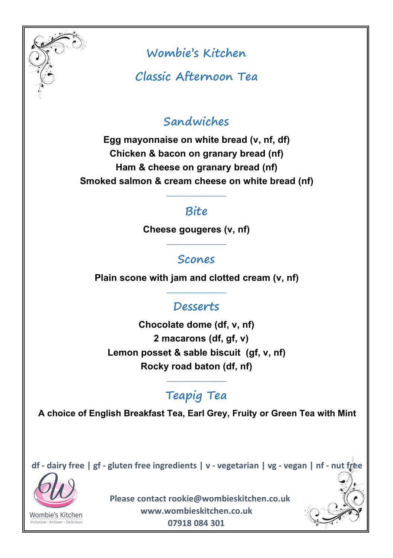

**Classic Afternoon Tea**

# **Sandwiches**

**Egg mayonnaise on white bread (v, nf, df) Chicken & bacon on granary bread (nf) Ham & cheese on granary bread (nf) Smoked salmon & cream cheese on white bread (nf)**

### **Bite**

**\_\_\_\_\_\_\_\_\_\_\_\_\_\_\_\_\_\_\_**

**\_\_\_\_\_\_\_\_\_\_\_\_\_\_\_\_\_\_\_**

**\_\_\_\_\_\_\_\_\_\_\_\_\_\_\_\_\_\_\_**

**\_\_\_\_\_\_\_\_\_\_\_\_\_\_\_\_\_\_\_**

**Cheese gougeres (v, nf)**

#### **Scones**

**Plain scone with jam and clotted cream (v, nf)**

### **Desserts**

**Chocolate dome (df, v, nf) 2 macarons (df, gf, v) Lemon posset & sable biscuit (gf, v, nf) Rocky road baton (df, nf)**

# **Teapig Tea**

**A choice of English Breakfast Tea, Earl Grey, Fruity or Green Tea with Mint**

df - dairy free | gf - gluten free ingredients | v - vegetarian | vg - vegan | nf - nut free

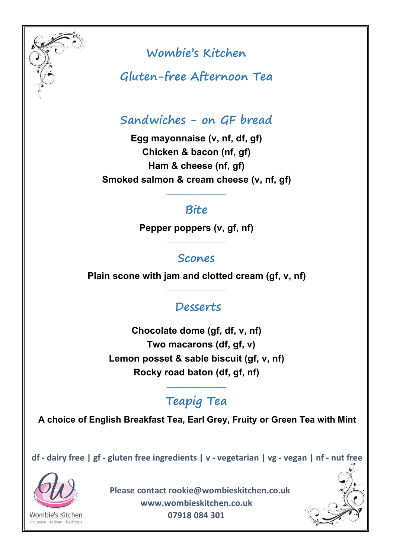

**Gluten-free Afternoon Tea**

## **Sandwiches - on GF bread**

**Egg mayonnaise (v, nf, df, gf) Chicken & bacon (nf, gf) Ham & cheese (nf, gf) Smoked salmon & cream cheese (v,nf, gf)**

#### **Bite**

**\_\_\_\_\_\_\_\_\_\_\_\_\_\_\_\_\_\_\_**

**\_\_\_\_\_\_\_\_\_\_\_\_\_\_\_\_\_\_\_**

**\_\_\_\_\_\_\_\_\_\_\_\_\_\_\_\_\_\_\_**

**\_\_\_\_\_\_\_\_\_\_\_\_\_\_\_\_\_\_\_**

**Pepper poppers (v, gf, nf)**

#### **Scones**

**Plain scone with jam and clotted cream (gf, v, nf)**

## **Desserts**

**Chocolate dome (gf, df, v, nf) Two macarons (df, gf, v) Lemon posset & sable biscuit (gf,v, nf) Rocky road baton (df, gf, nf)**

# **Teapig Tea**

**A choice of English Breakfast Tea, Earl Grey, Fruity or Green Tea with Mint**

df - dairy free | gf - gluten free ingredients | v - vegetarian | vg - vegan | nf - nut free

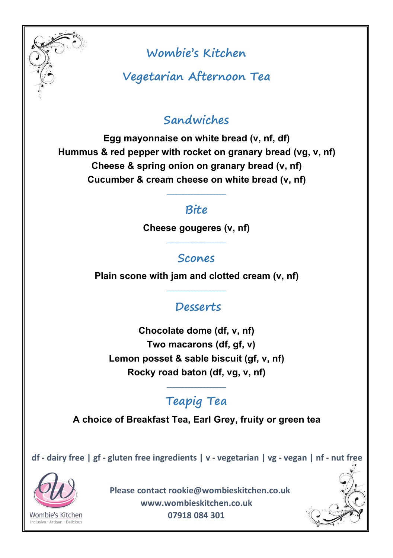

**Vegetarian Afternoon Tea**

## **Sandwiches**

**Egg mayonnaise on white bread (v, nf, df) Hummus & red pepper with rocket on granary bread (vg, v, nf) Cheese & spring onion on granary bread (v, nf) Cucumber & cream cheese onwhite bread (v, nf)**

#### **Bite**

**\_\_\_\_\_\_\_\_\_\_\_\_\_\_\_\_\_\_\_**

**\_\_\_\_\_\_\_\_\_\_\_\_\_\_\_\_\_\_\_**

**\_\_\_\_\_\_\_\_\_\_\_\_\_\_\_\_\_\_\_**

**\_\_\_\_\_\_\_\_\_\_\_\_\_\_\_\_\_\_\_**

**Cheese gougeres (v, nf)**

#### **Scones**

**Plain scone with jam and clotted cream (v, nf)**

## **Desserts**

**Chocolate dome (df, v, nf) Two macarons (df, gf, v) Lemon posset & sable biscuit (gf,v, nf) Rocky road baton (df, vg, v, nf)**

# **Teapig Tea**

**A choice of Breakfast Tea, Earl Grey, fruity or green tea**

df - dairy free | gf - gluten free ingredients | v - vegetarian | vg - vegan | nf - nut free

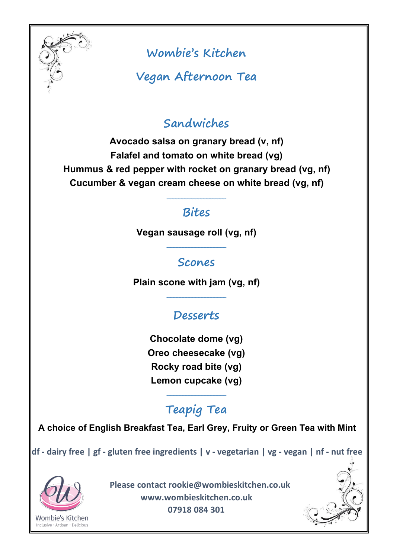

**Vegan Afternoon Tea**

## **Sandwiches**

**Avocado salsa on granary bread (v, nf) Falafel and tomato on white bread (vg) Hummus & red pepper with rocket on granary bread (vg, nf) Cucumber & vegan cream cheese on white bread (vg, nf)**

## **Bites**

**\_\_\_\_\_\_\_\_\_\_\_\_\_\_\_\_\_\_\_**

**\_\_\_\_\_\_\_\_\_\_\_\_\_\_\_\_\_\_\_**

**\_\_\_\_\_\_\_\_\_\_\_\_\_\_\_\_\_\_\_**

**\_\_\_\_\_\_\_\_\_\_\_\_\_\_\_\_\_\_\_**

**Vegan sausage roll (vg, nf)**

## **Scones**

**Plain scone with jam (vg, nf)**

# **Desserts**

**Chocolate dome (vg) Oreo cheesecake (vg) Rocky road bite (vg) Lemon cupcake (vg)**

# **Teapig Tea**

**A choice of English Breakfast Tea, Earl Grey, Fruity or Green Tea with Mint**

df - dairy free | gf - gluten free ingredients | v - vegetarian | vg - vegan | nf - nut free

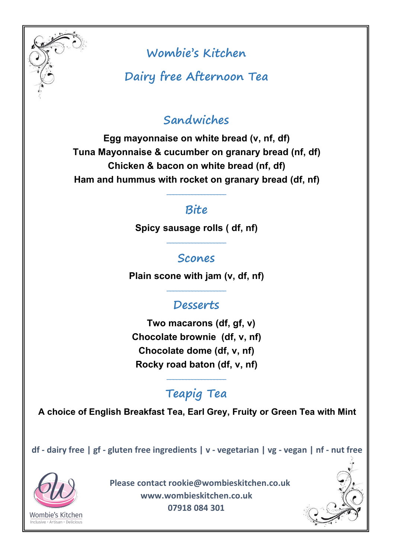

**Dairy free Afternoon Tea**

## **Sandwiches**

**Egg mayonnaise on white bread (v, nf, df) Tuna Mayonnaise & cucumber on granary bread (nf, df) Chicken & bacon on white bread (nf, df) Ham and hummus with rocket on granary bread (df, nf)**

## **Bite**

**\_\_\_\_\_\_\_\_\_\_\_\_\_\_\_\_\_\_\_**

**\_\_\_\_\_\_\_\_\_\_\_\_\_\_\_\_\_\_\_**

**\_\_\_\_\_\_\_\_\_\_\_\_\_\_\_\_\_\_\_**

**\_\_\_\_\_\_\_\_\_\_\_\_\_\_\_\_\_\_\_**

**Spicy sausage rolls ( df, nf)**

#### **Scones**

**Plain scone with jam (v, df, nf)**

### **Desserts**

**Two macarons (df, gf, v) Chocolate brownie (df, v, nf) Chocolate dome (df, v, nf) Rocky road baton (df, v, nf)**

# **Teapig Tea**

**A choice of English Breakfast Tea, Earl Grey, Fruity or Green Tea with Mint**

df - dairy free | gf - gluten free ingredients | v - vegetarian | vg - vegan | nf - nut free